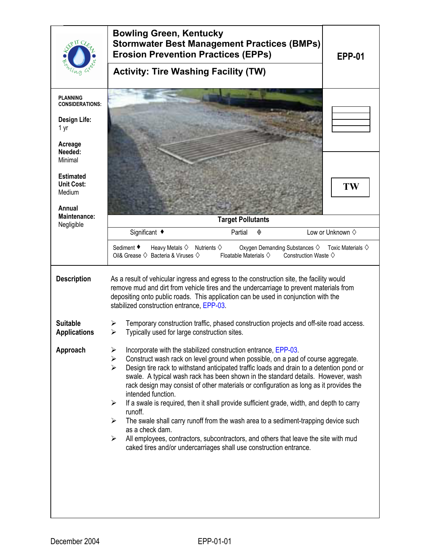|                                                                                     | <b>Bowling Green, Kentucky</b><br><b>Stormwater Best Management Practices (BMPs)</b><br><b>Erosion Prevention Practices (EPPs)</b><br><b>EPP-01</b><br><b>Activity: Tire Washing Facility (TW)</b>                                                                                                                                                                                                                                                                                                                                                                                                                                                                                                                                                                                                                                                                                                     |  |  |  |
|-------------------------------------------------------------------------------------|--------------------------------------------------------------------------------------------------------------------------------------------------------------------------------------------------------------------------------------------------------------------------------------------------------------------------------------------------------------------------------------------------------------------------------------------------------------------------------------------------------------------------------------------------------------------------------------------------------------------------------------------------------------------------------------------------------------------------------------------------------------------------------------------------------------------------------------------------------------------------------------------------------|--|--|--|
|                                                                                     |                                                                                                                                                                                                                                                                                                                                                                                                                                                                                                                                                                                                                                                                                                                                                                                                                                                                                                        |  |  |  |
| <b>PLANNING</b><br><b>CONSIDERATIONS:</b><br><b>Design Life:</b><br>1 yr<br>Acreage |                                                                                                                                                                                                                                                                                                                                                                                                                                                                                                                                                                                                                                                                                                                                                                                                                                                                                                        |  |  |  |
| Needed:<br>Minimal                                                                  |                                                                                                                                                                                                                                                                                                                                                                                                                                                                                                                                                                                                                                                                                                                                                                                                                                                                                                        |  |  |  |
| <b>Estimated</b><br><b>Unit Cost:</b><br>Medium<br>Annual                           | TW                                                                                                                                                                                                                                                                                                                                                                                                                                                                                                                                                                                                                                                                                                                                                                                                                                                                                                     |  |  |  |
| <b>Maintenance:</b><br>Negligible                                                   | <b>Target Pollutants</b>                                                                                                                                                                                                                                                                                                                                                                                                                                                                                                                                                                                                                                                                                                                                                                                                                                                                               |  |  |  |
|                                                                                     | Significant ◆<br>Partial<br>Low or Unknown $\diamond$<br>◈                                                                                                                                                                                                                                                                                                                                                                                                                                                                                                                                                                                                                                                                                                                                                                                                                                             |  |  |  |
|                                                                                     | Sediment ♦<br>Heavy Metals $\diamondsuit$<br>Nutrients $\diamondsuit$<br>Oxygen Demanding Substances $\diamondsuit$<br>Toxic Materials $\diamondsuit$<br>Oil& Grease $\diamondsuit$ Bacteria & Viruses $\diamondsuit$<br>Floatable Materials $\diamondsuit$<br>Construction Waste $\diamond$                                                                                                                                                                                                                                                                                                                                                                                                                                                                                                                                                                                                           |  |  |  |
| <b>Description</b>                                                                  | As a result of vehicular ingress and egress to the construction site, the facility would<br>remove mud and dirt from vehicle tires and the undercarriage to prevent materials from<br>depositing onto public roads. This application can be used in conjunction with the<br>stabilized construction entrance, EPP-03.                                                                                                                                                                                                                                                                                                                                                                                                                                                                                                                                                                                  |  |  |  |
| <b>Suitable</b><br><b>Applications</b>                                              | Temporary construction traffic, phased construction projects and off-site road access.<br>➤<br>Typically used for large construction sites.<br>⋗                                                                                                                                                                                                                                                                                                                                                                                                                                                                                                                                                                                                                                                                                                                                                       |  |  |  |
| Approach                                                                            | $\blacktriangleright$<br>Incorporate with the stabilized construction entrance, EPP-03.<br>Construct wash rack on level ground when possible, on a pad of course aggregate.<br>$\blacktriangleright$<br>Design tire rack to withstand anticipated traffic loads and drain to a detention pond or<br>⋗<br>swale. A typical wash rack has been shown in the standard details. However, wash<br>rack design may consist of other materials or configuration as long as it provides the<br>intended function.<br>If a swale is required, then it shall provide sufficient grade, width, and depth to carry<br>➤<br>runoff.<br>The swale shall carry runoff from the wash area to a sediment-trapping device such<br>➤<br>as a check dam.<br>All employees, contractors, subcontractors, and others that leave the site with mud<br>➤<br>caked tires and/or undercarriages shall use construction entrance. |  |  |  |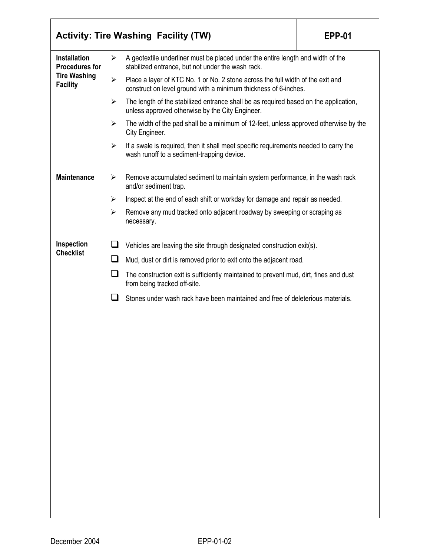|                                                                                        |                       | <b>Activity: Tire Washing Facility (TW)</b>                                                                                                        | <b>EPP-01</b> |  |  |
|----------------------------------------------------------------------------------------|-----------------------|----------------------------------------------------------------------------------------------------------------------------------------------------|---------------|--|--|
| <b>Installation</b><br><b>Procedures for</b><br><b>Tire Washing</b><br><b>Facility</b> | ➤                     | A geotextile underliner must be placed under the entire length and width of the<br>stabilized entrance, but not under the wash rack.               |               |  |  |
|                                                                                        | ➤                     | Place a layer of KTC No. 1 or No. 2 stone across the full width of the exit and<br>construct on level ground with a minimum thickness of 6-inches. |               |  |  |
|                                                                                        | ➤                     | The length of the stabilized entrance shall be as required based on the application,<br>unless approved otherwise by the City Engineer.            |               |  |  |
|                                                                                        | $\blacktriangleright$ | The width of the pad shall be a minimum of 12-feet, unless approved otherwise by the<br>City Engineer.                                             |               |  |  |
|                                                                                        | $\blacktriangleright$ | If a swale is required, then it shall meet specific requirements needed to carry the<br>wash runoff to a sediment-trapping device.                 |               |  |  |
| <b>Maintenance</b>                                                                     | ➤                     | Remove accumulated sediment to maintain system performance, in the wash rack<br>and/or sediment trap.                                              |               |  |  |
|                                                                                        | ➤                     | Inspect at the end of each shift or workday for damage and repair as needed.                                                                       |               |  |  |
|                                                                                        | ➤                     | Remove any mud tracked onto adjacent roadway by sweeping or scraping as<br>necessary.                                                              |               |  |  |
| Inspection<br><b>Checklist</b>                                                         | ப                     | Vehicles are leaving the site through designated construction exit(s).                                                                             |               |  |  |
|                                                                                        | ப                     | Mud, dust or dirt is removed prior to exit onto the adjacent road.                                                                                 |               |  |  |
|                                                                                        | ப                     | The construction exit is sufficiently maintained to prevent mud, dirt, fines and dust<br>from being tracked off-site.                              |               |  |  |
|                                                                                        | $\sim$                | Stones under wash rack have been maintained and free of deleterious materials.                                                                     |               |  |  |
|                                                                                        |                       |                                                                                                                                                    |               |  |  |
|                                                                                        |                       |                                                                                                                                                    |               |  |  |
|                                                                                        |                       |                                                                                                                                                    |               |  |  |
|                                                                                        |                       |                                                                                                                                                    |               |  |  |
|                                                                                        |                       |                                                                                                                                                    |               |  |  |
|                                                                                        |                       |                                                                                                                                                    |               |  |  |
|                                                                                        |                       |                                                                                                                                                    |               |  |  |
|                                                                                        |                       |                                                                                                                                                    |               |  |  |
|                                                                                        |                       |                                                                                                                                                    |               |  |  |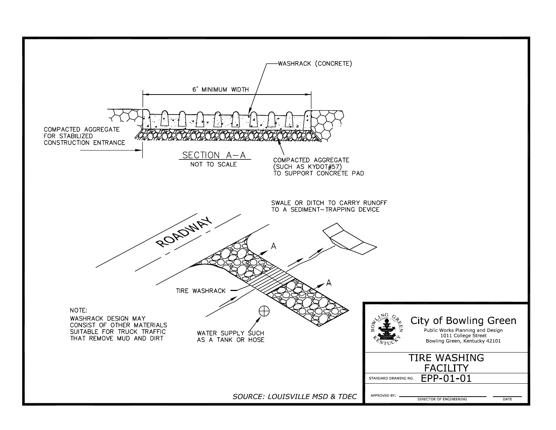